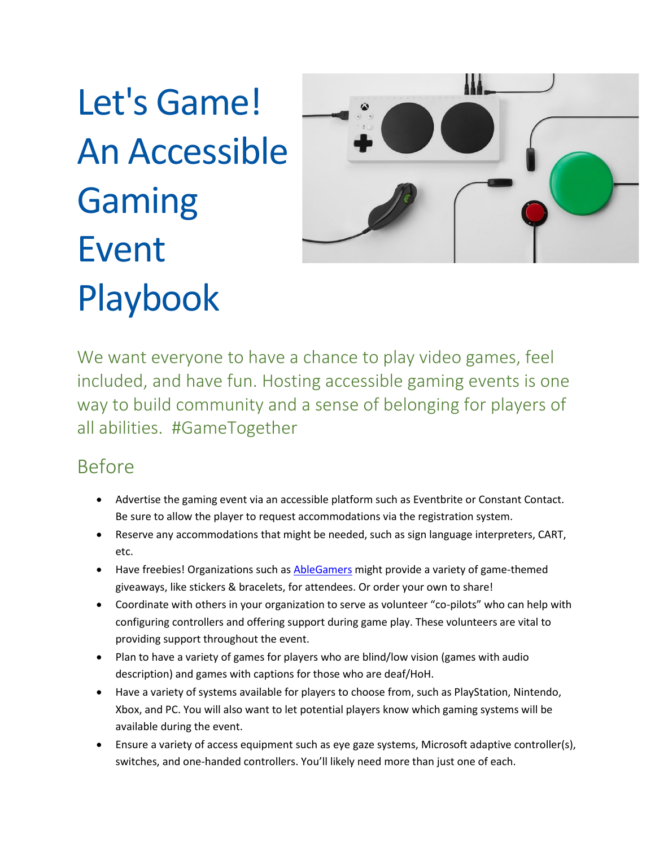Let's Game! An Accessible Gaming Event Playbook



We want everyone to have a chance to play video games, feel included, and have fun. Hosting accessible gaming events is one way to build community and a sense of belonging for players of all abilities. #GameTogether

## Before

- Advertise the gaming event via an accessible platform such as Eventbrite or Constant Contact. Be sure to allow the player to request accommodations via the registration system.
- Reserve any accommodations that might be needed, such as sign language interpreters, CART, etc.
- Have freebies! Organizations such a[s AbleGamers](https://ablegamers.org/) might provide a variety of game-themed giveaways, like stickers & bracelets, for attendees. Or order your own to share!
- Coordinate with others in your organization to serve as volunteer "co-pilots" who can help with configuring controllers and offering support during game play. These volunteers are vital to providing support throughout the event.
- Plan to have a variety of games for players who are blind/low vision (games with audio description) and games with captions for those who are deaf/HoH.
- Have a variety of systems available for players to choose from, such as PlayStation, Nintendo, Xbox, and PC. You will also want to let potential players know which gaming systems will be available during the event.
- Ensure a variety of access equipment such as eye gaze systems, Microsoft adaptive controller(s), switches, and one-handed controllers. You'll likely need more than just one of each.